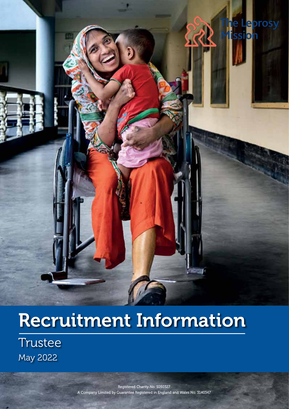

# Recruitment Information

**Trustee** May 2022

> Registered Charity No. 1050327 A Company Limited by Guarantee Registered in England and Wales No. 3140347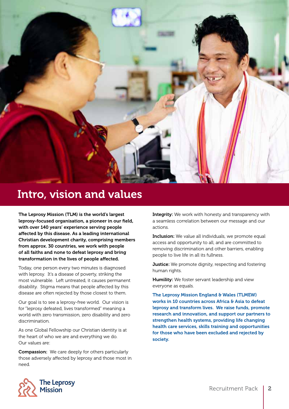

### Intro, vision and values

The Leprosy Mission (TLM) is the world's largest leprosy-focused organisation, a pioneer in our field, with over 140 years' experience serving people affected by this disease. As a leading international Christian development charity, comprising members from approx. 30 countries, we work with people of all faiths and none to defeat leprosy and bring transformation in the lives of people affected.

Today, one person every two minutes is diagnosed with leprosy. It's a disease of poverty, striking the most vulnerable. Left untreated, it causes permanent disability. Stigma means that people affected by this disease are often rejected by those closest to them.

Our goal is to see a leprosy-free world. Our vision is for "leprosy defeated, lives transformed" meaning a world with zero transmission, zero disability and zero discrimination.

As one Global Fellowship our Christian identity is at the heart of who we are and everything we do. Our values are:

Compassion: We care deeply for others particularly those adversely affected by leprosy and those most in need.

**Integrity:** We work with honesty and transparency with a seamless correlation between our message and our actions.

Inclusion: We value all individuals, we promote equal access and opportunity to all, and are committed to removing discrimination and other barriers, enabling people to live life in all its fullness.

**Justice:** We promote dignity, respecting and fostering human rights.

Humility: We foster servant leadership and view everyone as equals.

The Leprosy Mission England & Wales (TLMEW) works in 10 countries across Africa & Asia to defeat leprosy and transform lives. We raise funds, promote research and innovation, and support our partners to strengthen health systems, providing life changing health care services, skills training and opportunities for those who have been excluded and rejected by society.

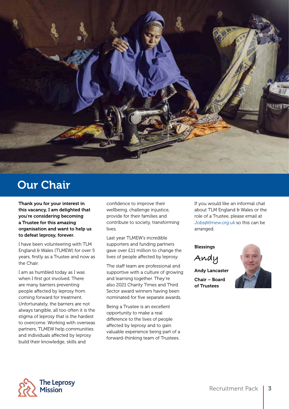

### Our Chair

Thank you for your interest in this vacancy, I am delighted that you're considering becoming a Trustee for this amazing organisation and want to help us to defeat leprosy, forever.

I have been volunteering with TLM England & Wales (TLMEW) for over 5 years, firstly as a Trustee and now as the Chair.

I am as humbled today as I was when I first got involved. There are many barriers preventing people affected by leprosy from coming forward for treatment. Unfortunately, the barriers are not always tangible, all too often it is the stigma of leprosy that is the hardest to overcome. Working with overseas partners, TLMEW help communities and individuals affected by leprosy build their knowledge, skills and

confidence to improve their wellbeing, challenge injustice, provide for their families and contribute to society, transforming lives.

Last year TLMEW's incredible supporters and funding partners gave over £11 million to change the lives of people affected by leprosy.

The staff team are professional and supportive with a culture of growing and learning together. They're also 2021 Charity Times and Third Sector award winners having been nominated for five separate awards.

Being a Trustee is an excellent opportunity to make a real difference to the lives of people affected by leprosy and to gain valuable experience being part of a forward-thinking team of Trustees.

If you would like an informal chat about TLM England & Wales or the role of a Trustee, please email at Jobs@tlmew.org.uk so this can be arranged.

**Blessings** 

**Andy**

Andy Lancaster Chair – Board of Trustees



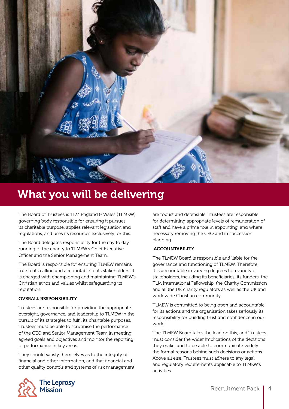

### What you will be delivering

The Board of Trustees is TLM England & Wales (TLMEW) governing body responsible for ensuring it pursues its charitable purpose, applies relevant legislation and regulations, and uses its resources exclusively for this.

The Board delegates responsibility for the day to day running of the charity to TLMEW's Chief Executive Officer and the Senior Management Team.

The Board is responsible for ensuring TLMEW remains true to its calling and accountable to its stakeholders. It is charged with championing and maintaining TLMEW's Christian ethos and values whilst safeguarding its reputation.

#### OVERALL RESPONSIBILITY

Trustees are responsible for providing the appropriate oversight, governance, and leadership to TLMEW in the pursuit of its strategies to fulfil its charitable purposes. Trustees must be able to scrutinise the performance of the CEO and Senior Management Team in meeting agreed goals and objectives and monitor the reporting of performance in key areas.

They should satisfy themselves as to the integrity of financial and other information, and that financial and other quality controls and systems of risk management are robust and defensible. Trustees are responsible for determining appropriate levels of remuneration of staff and have a prime role in appointing, and where necessary removing the CEO and in succession planning.

#### ACCOUNTABILITY

The TLMEW Board is responsible and liable for the governance and functioning of TLMEW. Therefore, it is accountable in varying degrees to a variety of stakeholders, including its beneficiaries, its funders, the TLM International Fellowship, the Charity Commission and all the UK charity regulators as well as the UK and worldwide Christian community.

TLMEW is committed to being open and accountable for its actions and the organisation takes seriously its responsibility for building trust and confidence in our work.

The TLMEW Board takes the lead on this, and Trustees must consider the wider implications of the decisions they make, and to be able to communicate widely the formal reasons behind such decisions or actions. Above all else, Trustees must adhere to any legal and regulatory requirements applicable to TLMEW's activities.

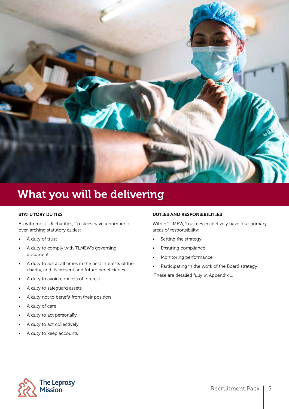

### What you will be delivering

#### STATUTORY DUTIES

As with most UK charities, Trustees have a number of over-arching statutory duties:

- A duty of trust
- A duty to comply with TLMEW's governing document
- A duty to act at all times in the best interests of the charity, and its present and future beneficiaries
- A duty to avoid conflicts of interest
- A duty to safeguard assets
- A duty not to benefit from their position
- A duty of care
- A duty to act personally
- A duty to act collectively
- A duty to keep accounts

#### DUTIES AND RESPONSIBILITIES

Within TLMEW, Trustees collectively have four primary areas of responsibility:

- Setting the strategy
- Ensuring compliance
- Monitoring performance
- Participating in the work of the Board strategy

These are detailed fully in Appendix 1.

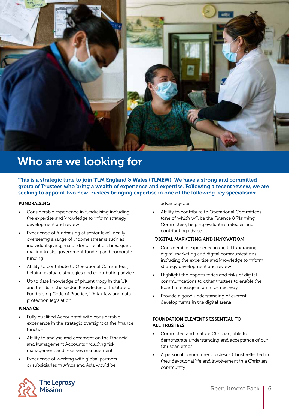

### Who are we looking for

This is a strategic time to join TLM England & Wales (TLMEW). We have a strong and committed group of Trustees who bring a wealth of experience and expertise. Following a recent review, we are seeking to appoint two new trustees bringing expertise in one of the following key specialisms:

#### FUNDRAISING

- Considerable experience in fundraising including the expertise and knowledge to inform strategy development and review
- Experience of fundraising at senior level ideally overseeing a range of income streams such as individual giving, major donor relationships, grant making trusts, government funding and corporate funding
- Ability to contribute to Operational Committees, helping evaluate strategies and contributing advice
- Up to date knowledge of philanthropy in the UK and trends in the sector. Knowledge of Institute of Fundraising Code of Practice, UK tax law and data protection legislation

#### FINANCE

- Fully qualified Accountant with considerable experience in the strategic oversight of the finance function
- Ability to analyse and comment on the Financial and Management Accounts including risk management and reserves management
- Experience of working with global partners or subsidiaries in Africa and Asia would be

advantageous

• Ability to contribute to Operational Committees (one of which will be the Finance & Planning Committee), helping evaluate strategies and contributing advice

#### DIGITAL MARKETING AND INNOVATION

- Considerable experience in digital fundraising. digital marketing and digital communications including the expertise and knowledge to inform strategy development and review
- Highlight the opportunities and risks of digital communications to other trustees to enable the Board to engage in an informed way
- Provide a good understanding of current developments in the digital arena

#### FOUNDATION ELEMENTS ESSENTIAL TO ALL TRUSTEES

- Committed and mature Christian, able to demonstrate understanding and acceptance of our Christian ethos
- A personal commitment to Jesus Christ reflected in their devotional life and involvement in a Christian community

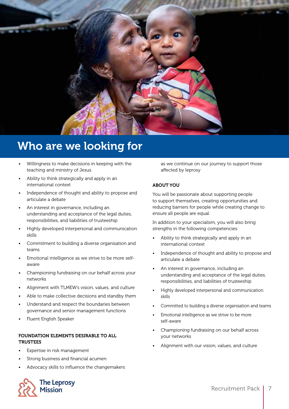

### Who are we looking for

- Willingness to make decisions in keeping with the teaching and ministry of Jesus.
- Ability to think strategically and apply in an international context
- Independence of thought and ability to propose and articulate a debate
- An interest in governance, including an understanding and acceptance of the legal duties, responsibilities, and liabilities of trusteeship
- Highly developed interpersonal and communication skills
- Commitment to building a diverse organisation and teams
- Emotional intelligence as we strive to be more selfaware
- Championing fundraising on our behalf across your networks
- Alignment with TLMEW's vision, values, and culture
- Able to make collective decisions and standby them
- Understand and respect the boundaries between governance and senior management functions
- Fluent English Speaker

#### FOUNDATION ELEMENTS DESIRABLE TO ALL **TRUSTEES**

- Expertise in risk management
- Strong business and financial acumen
- Advocacy skills to influence the changemakers



as we continue on our journey to support those affected by leprosy

#### ABOUT YOU

You will be passionate about supporting people to support themselves, creating opportunities and reducing barriers for people while creating change to ensure all people are equal.

In addition to your specialism, you will also bring strengths in the following competencies:

- Ability to think strategically and apply in an international context
- Independence of thought and ability to propose and articulate a debate
- An interest in governance, including an understanding and acceptance of the legal duties, responsibilities, and liabilities of trusteeship
- Highly developed interpersonal and communication skills
- Committed to building a diverse organisation and teams
- Emotional intelligence as we strive to be more self-aware
- Championing fundraising on our behalf across your networks
- Alignment with our vision, values, and culture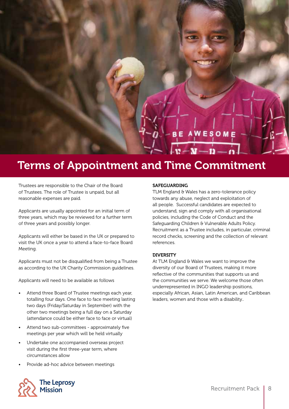## **BE AWESOME**

 $v - v - v$ 

### Terms of Appointment and Time Commitment

Trustees are responsible to the Chair of the Board of Trustees. The role of Trustee is unpaid, but all reasonable expenses are paid.

Applicants are usually appointed for an initial term of three years, which may be reviewed for a further term of three years and possibly longer.

Applicants will either be based in the UK or prepared to visit the UK once a year to attend a face-to-face Board Meeting.

Applicants must not be disqualified from being a Trustee as according to the UK Charity Commission guidelines.

Applicants will need to be available as follows

- Attend three Board of Trustee meetings each year, totalling four days. One face to face meeting lasting two days (Friday/Saturday in September) with the other two meetings being a full day on a Saturday (attendance could be either face to face or virtual)
- Attend two sub-committees approximately five meetings per year which will be held virtually
- Undertake one accompanied overseas project visit during the first three-year term, where circumstances allow
- Provide ad-hoc advice between meetings

#### **SAFEGUARDING**

TLM England & Wales has a zero-tolerance policy towards any abuse, neglect and exploitation of all people. Successful candidates are expected to understand, sign and comply with all organisational policies, including the Code of Conduct and the Safeguarding Children & Vulnerable Adults Policy. Recruitment as a Trustee includes, in particular, criminal record checks, screening and the collection of relevant references.

#### **DIVERSITY**

At TLM England & Wales we want to improve the diversity of our Board of Trustees, making it more reflective of the communities that supports us and the communities we serve. We welcome those often underrepresented in INGO leadership positions, especially African, Asian, Latin American, and Caribbean leaders, women and those with a disability..

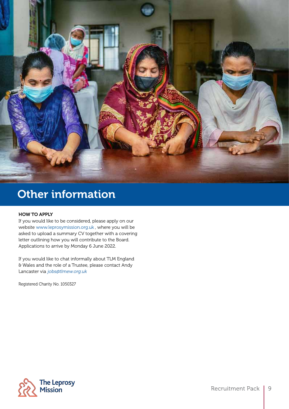

### Other information

#### HOW TO APPLY

If you would like to be considered, please apply on our website www.leprosymission.org.uk , where you will be asked to upload a summary CV together with a covering letter outlining how you will contribute to the Board. Applications to arrive by Monday 6 June 2022.

If you would like to chat informally about TLM England & Wales and the role of a Trustee, please contact Andy Lancaster via jobs@tlmew.org.uk

Registered Charity No. 1050327

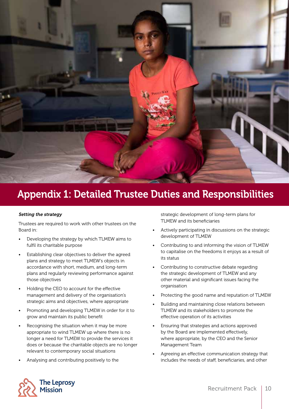

### Appendix 1: Detailed Trustee Duties and Responsibilities

#### Setting the strategy

Trustees are required to work with other trustees on the Board in:

- Developing the strategy by which TLMEW aims to fulfil its charitable purpose
- Establishing clear objectives to deliver the agreed plans and strategy to meet TLMEW's objects in accordance with short, medium, and long-term plans and regularly reviewing performance against those objectives
- Holding the CEO to account for the effective management and delivery of the organisation's strategic aims and objectives, where appropriate
- Promoting and developing TLMEW in order for it to grow and maintain its public benefit
- Recognising the situation when it may be more appropriate to wind TLMEW up where there is no longer a need for TLMEW to provide the services it does or because the charitable objects are no longer relevant to contemporary social situations
- Analysing and contributing positively to the

strategic development of long-term plans for TLMEW and its beneficiaries

- Actively participating in discussions on the strategic development of TLMEW
- Contributing to and informing the vision of TLMEW to capitalise on the freedoms it enjoys as a result of its status
- Contributing to constructive debate regarding the strategic development of TLMEW and any other material and significant issues facing the organisation
- Protecting the good name and reputation of TLMEW
- Building and maintaining close relations between TLMEW and its stakeholders to promote the effective operation of its activities
- Ensuring that strategies and actions approved by the Board are implemented effectively, where appropriate, by the CEO and the Senior Management Team
- Agreeing an effective communication strategy that includes the needs of staff, beneficiaries, and other

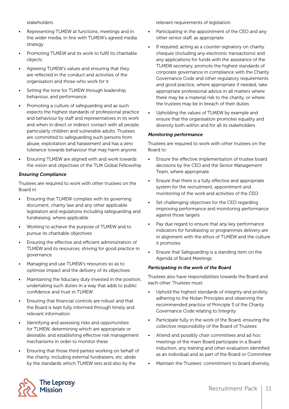stakeholders

- Representing TLMEW at functions, meetings and in the wider media, in line with TLMEW's agreed media strategy
- Promoting TLMEW and its work to fulfil its charitable objects
- Agreeing TLMEW's values and ensuring that they are reflected in the conduct and activities of the organisation and those who work for it
- Setting the tone for TLMEW through leadership, behaviour, and performance.
- Promoting a culture of safeguarding and as such expects the highest standards of professional practice and behaviour by staff and representatives in its work and when in direct or indirect contact with all people, particularly children and vulnerable adults. Trustees are committed to safeguarding such persons from abuse, exploitation and harassment and has a zero tolerance towards behaviour that may harm anyone
- Ensuring TLMEW are aligned with and work towards the vision and objectives of the TLM Global Fellowship

#### Ensuring Compliance

Trustees are required to work with other trustees on the Board in:

- Ensuring that TLMEW complies with its governing document, charity law and any other applicable legislation and regulations including safeguarding and fundraising, where applicable
- Working to achieve the purpose of TLMEW and to pursue its charitable objectives
- Ensuring the effective and efficient administration of TLMEW and its resources, striving for good practice in governance
- Managing and use TLMEW's resources so as to optimise impact and the delivery of its objectives
- Maintaining the fiduciary duty invested in the position, undertaking such duties in a way that adds to public confidence and trust in TLMEW
- Ensuring that financial controls are robust and that the Board is kept fully informed through timely and relevant information
- Identifying and assessing risks and opportunities for TLMEW, determining which are appropriate or desirable, and establishing effective risk management mechanisms in order to monitor these
- Ensuring that those third parties working on behalf of the charity, including external fundraisers, etc. abide by the standards which TLMEW sets and also by the

relevant requirements of legislation

- Participating in the appointment of the CEO and any other senior staff, as appropriate
- If required, acting as a counter-signatory on charity cheques (including any electronic transactions) and any applications for funds with the assistance of the TLMEW secretary, promote the highest standards of corporate governance in compliance with the Charity Governance Code and other regulatory requirements and good practice, where appropriate if needed, take appropriate professional advice in all matters where there may be a material risk to the charity, or where the trustees may be in breach of their duties
- Upholding the values of TLMEW by example and ensure that the organisation promotes equality and diversity both within and for all its stakeholders

#### Monitoring performance

Trustees are required to work with other trustees on the Board to:

- Ensure the effective implementation of trustee board decisions by the CEO and the Senior Management Team, where appropriate
- Ensure that there is a fully effective and appropriate system for the recruitment, appointment and monitoring of the work and activities of the CEO
- Set challenging objectives for the CEO regarding improving performance and monitoring performance against those targets
- Pay due regard to ensure that any key performance indicators for fundraising or programmes delivery are in alignment with the ethos of TLMEW and the culture it promotes
- Ensure that Safeguarding is a standing item on the Agenda of Board Meetings

#### Participating in the work of the Board

Trustees also have responsibilities towards the Board and each other. Trustees must:

- Uphold the highest standards of integrity and probity, adhering to the Nolan Principles and observing the recommended practice of Principle 3 of the Charity Governance Code relating to Integrity
- Participate fully in the work of the Board, ensuring the collective responsibility of the Board of Trustees
- Attend and possibly chair committees and ad hoc meetings of the main Board participate in a Board induction, any training and other evaluation identified as an individual and as part of the Board or Committee
- Maintain the Trustees' commitment to board diversity,